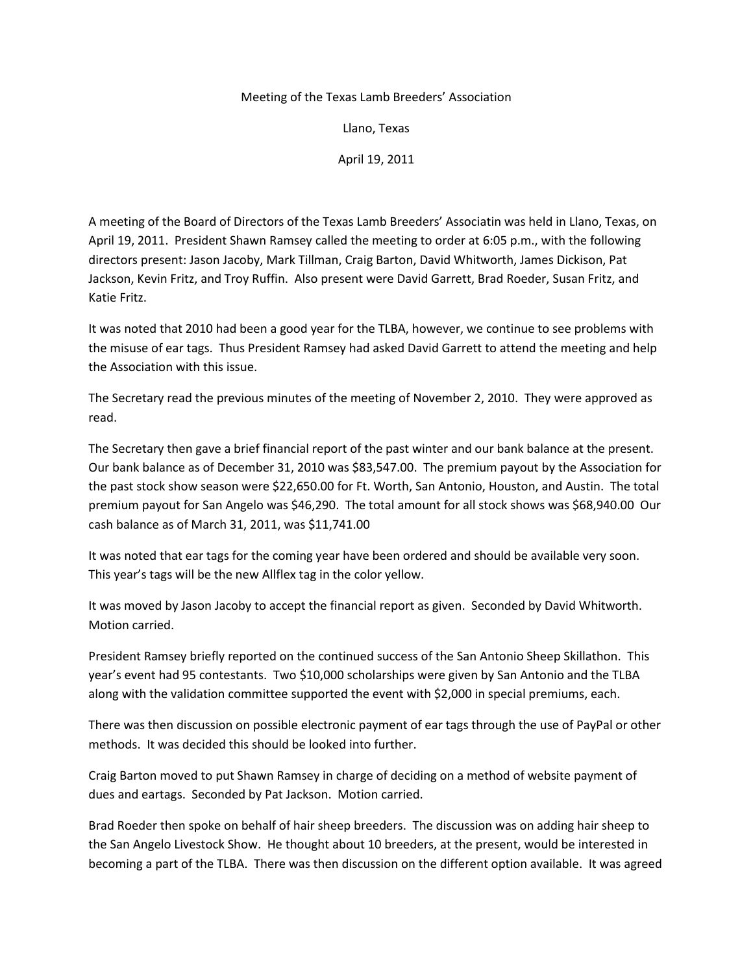## Meeting of the Texas Lamb Breeders' Association

Llano, Texas

April 19, 2011

A meeting of the Board of Directors of the Texas Lamb Breeders' Associatin was held in Llano, Texas, on April 19, 2011. President Shawn Ramsey called the meeting to order at 6:05 p.m., with the following directors present: Jason Jacoby, Mark Tillman, Craig Barton, David Whitworth, James Dickison, Pat Jackson, Kevin Fritz, and Troy Ruffin. Also present were David Garrett, Brad Roeder, Susan Fritz, and Katie Fritz.

It was noted that 2010 had been a good year for the TLBA, however, we continue to see problems with the misuse of ear tags. Thus President Ramsey had asked David Garrett to attend the meeting and help the Association with this issue.

The Secretary read the previous minutes of the meeting of November 2, 2010. They were approved as read.

The Secretary then gave a brief financial report of the past winter and our bank balance at the present. Our bank balance as of December 31, 2010 was \$83,547.00. The premium payout by the Association for the past stock show season were \$22,650.00 for Ft. Worth, San Antonio, Houston, and Austin. The total premium payout for San Angelo was \$46,290. The total amount for all stock shows was \$68,940.00 Our cash balance as of March 31, 2011, was \$11,741.00

It was noted that ear tags for the coming year have been ordered and should be available very soon. This year's tags will be the new Allflex tag in the color yellow.

It was moved by Jason Jacoby to accept the financial report as given. Seconded by David Whitworth. Motion carried.

President Ramsey briefly reported on the continued success of the San Antonio Sheep Skillathon. This year's event had 95 contestants. Two \$10,000 scholarships were given by San Antonio and the TLBA along with the validation committee supported the event with \$2,000 in special premiums, each.

There was then discussion on possible electronic payment of ear tags through the use of PayPal or other methods. It was decided this should be looked into further.

Craig Barton moved to put Shawn Ramsey in charge of deciding on a method of website payment of dues and eartags. Seconded by Pat Jackson. Motion carried.

Brad Roeder then spoke on behalf of hair sheep breeders. The discussion was on adding hair sheep to the San Angelo Livestock Show. He thought about 10 breeders, at the present, would be interested in becoming a part of the TLBA. There was then discussion on the different option available. It was agreed